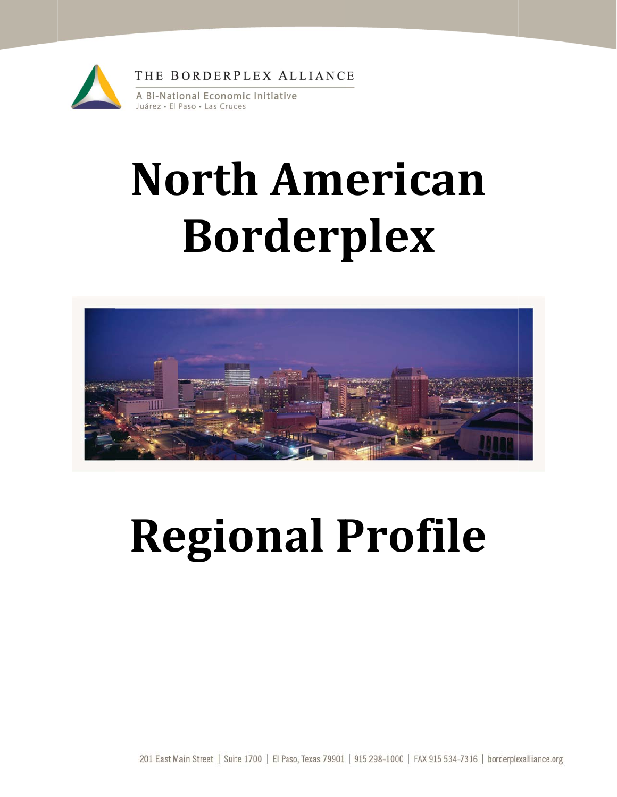

# **North American Borderplex**



## **Regional Profile**

201 East Main Street | Suite 1700 | El Paso, Texas 79901 | 915 298-1000 | FAX 915 534-7316 | borderplexalliance.org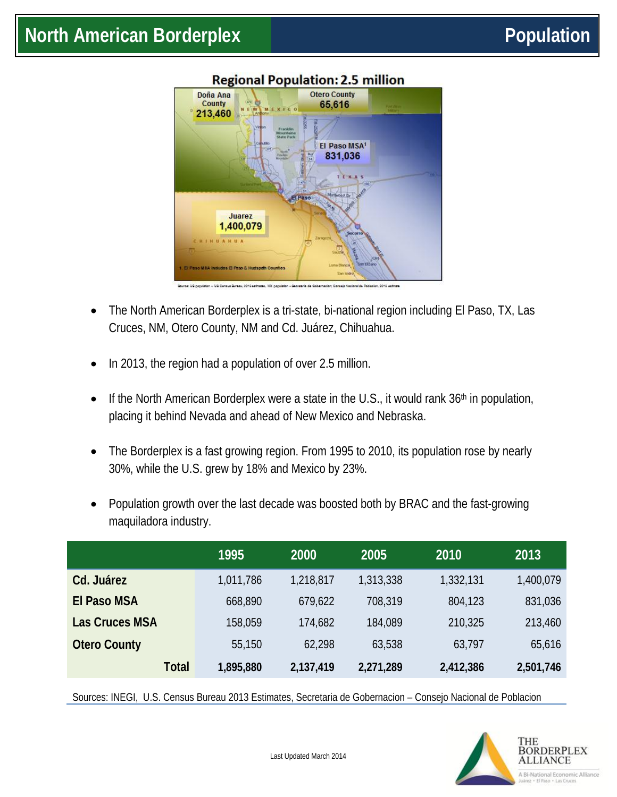

### The North American Borderplex is a tri-state, bi-national region including El Paso, TX, Las Cruces, NM, Otero County, NM and Cd. Juárez, Chihuahua.

- In 2013, the region had a population of over 2.5 million.
- If the North American Borderplex were a state in the U.S., it would rank  $36<sup>th</sup>$  in population, placing it behind Nevada and ahead of New Mexico and Nebraska.
- The Borderplex is a fast growing region. From 1995 to 2010, its population rose by nearly 30%, while the U.S. grew by 18% and Mexico by 23%.
- Population growth over the last decade was boosted both by BRAC and the fast-growing maquiladora industry.

|                       | 1995      | 2000      | 2005      | 2010      | 2013      |
|-----------------------|-----------|-----------|-----------|-----------|-----------|
| Cd. Juárez            | 1,011,786 | 1,218,817 | 1,313,338 | 1,332,131 | 1,400,079 |
| <b>El Paso MSA</b>    | 668,890   | 679,622   | 708,319   | 804,123   | 831,036   |
| <b>Las Cruces MSA</b> | 158,059   | 174,682   | 184,089   | 210,325   | 213,460   |
| <b>Otero County</b>   | 55,150    | 62,298    | 63,538    | 63,797    | 65,616    |
| <b>Total</b>          | 1,895,880 | 2,137,419 | 2,271,289 | 2,412,386 | 2,501,746 |

Sources: INEGI, U.S. Census Bureau 2013 Estimates, Secretaria de Gobernacion – Consejo Nacional de Poblacion

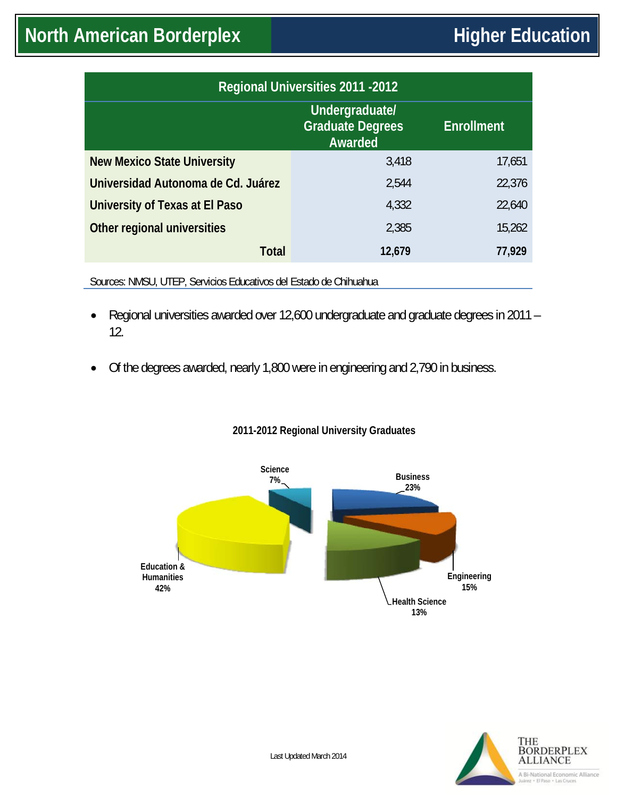| <b>Regional Universities 2011 -2012</b> |                                                      |                   |  |  |  |  |
|-----------------------------------------|------------------------------------------------------|-------------------|--|--|--|--|
|                                         | Undergraduate/<br><b>Graduate Degrees</b><br>Awarded | <b>Enrollment</b> |  |  |  |  |
| <b>New Mexico State University</b>      | 3,418                                                | 17,651            |  |  |  |  |
| Universidad Autonoma de Cd. Juárez      | 2,544                                                | 22,376            |  |  |  |  |
| University of Texas at El Paso          | 4,332                                                | 22,640            |  |  |  |  |
| Other regional universities             | 2,385                                                | 15,262            |  |  |  |  |
| <b>Total</b>                            | 12,679                                               | 77,929            |  |  |  |  |
|                                         |                                                      |                   |  |  |  |  |

Sources: NMSU, UTEP, Servicios Educativos del Estado de Chihuahua

- Regional universities awarded over 12,600 undergraduate and graduate degrees in 2011 12.
- Of the degrees awarded, nearly 1,800 were in engineering and 2,790 in business.

#### **2011-2012 Regional University Graduates**



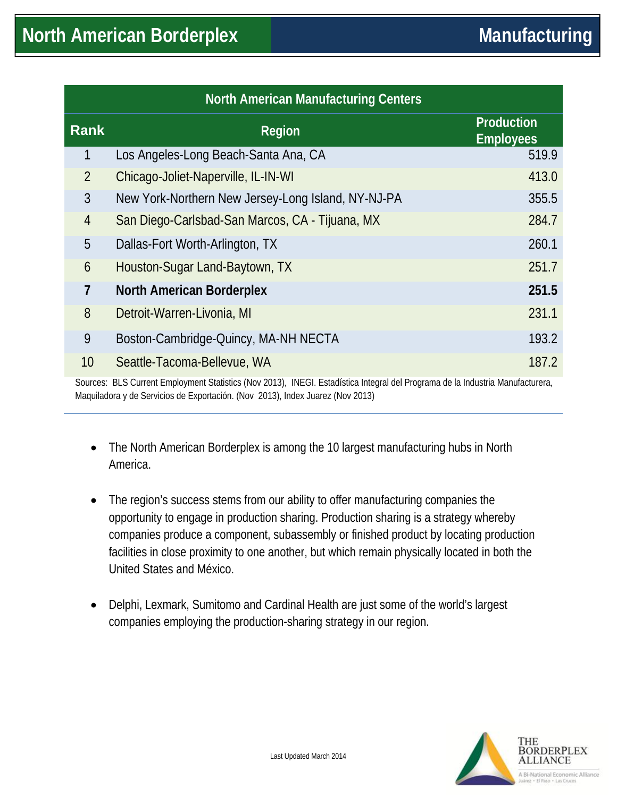| <b>North American Manufacturing Centers</b> |                                                                                                                                |                                       |  |  |  |
|---------------------------------------------|--------------------------------------------------------------------------------------------------------------------------------|---------------------------------------|--|--|--|
| <b>Rank</b>                                 | <b>Region</b>                                                                                                                  | <b>Production</b><br><b>Employees</b> |  |  |  |
| 1                                           | Los Angeles-Long Beach-Santa Ana, CA                                                                                           | 519.9                                 |  |  |  |
| $\overline{2}$                              | Chicago-Joliet-Naperville, IL-IN-WI                                                                                            | 413.0                                 |  |  |  |
| 3                                           | New York-Northern New Jersey-Long Island, NY-NJ-PA                                                                             | 355.5                                 |  |  |  |
| $\overline{4}$                              | San Diego-Carlsbad-San Marcos, CA - Tijuana, MX                                                                                | 284.7                                 |  |  |  |
| 5                                           | Dallas-Fort Worth-Arlington, TX                                                                                                | 260.1                                 |  |  |  |
| 6                                           | Houston-Sugar Land-Baytown, TX                                                                                                 | 251.7                                 |  |  |  |
| 7                                           | <b>North American Borderplex</b>                                                                                               | 251.5                                 |  |  |  |
| 8                                           | Detroit-Warren-Livonia, MI                                                                                                     | 231.1                                 |  |  |  |
| 9                                           | Boston-Cambridge-Quincy, MA-NH NECTA                                                                                           | 193.2                                 |  |  |  |
| 10 <sup>1</sup>                             | Seattle-Tacoma-Bellevue, WA                                                                                                    | 187.2                                 |  |  |  |
|                                             | Sources: BLS Current Employment Statistics (Nov 2013), INEGI. Estadística Integral del Programa de la Industria Manufacturera, |                                       |  |  |  |

Maquiladora y de Servicios de Exportación. (Nov 2013), Index Juarez (Nov 2013)

- The North American Borderplex is among the 10 largest manufacturing hubs in North America.
- The region's success stems from our ability to offer manufacturing companies the opportunity to engage in production sharing. Production sharing is a strategy whereby companies produce a component, subassembly or finished product by locating production facilities in close proximity to one another, but which remain physically located in both the United States and México.
- Delphi, Lexmark, Sumitomo and Cardinal Health are just some of the world's largest companies employing the production-sharing strategy in our region.

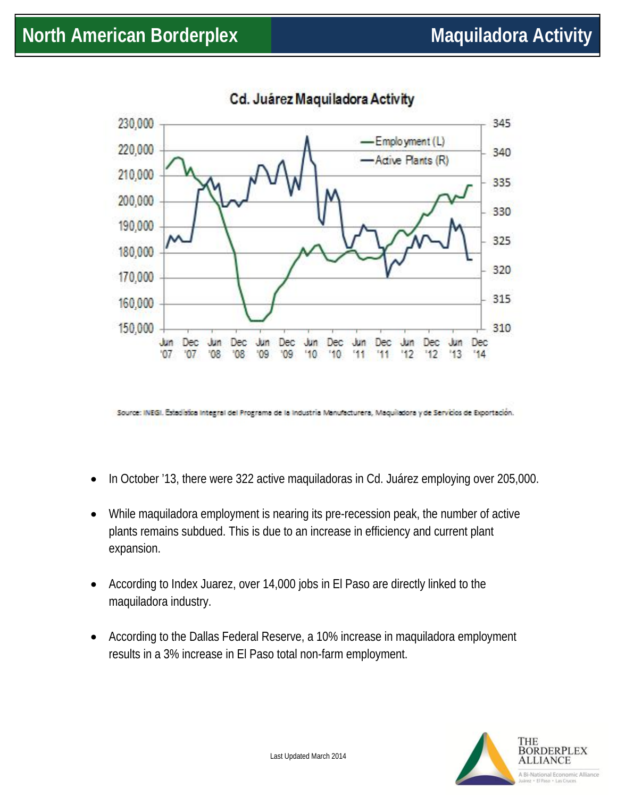

Cd. Juárez Maquiladora Activity

Source: INEGI. Estadística Integral del Programa de la Industria Manufacturera, Maquiladora y de Servicios de Exportación.

- In October '13, there were 322 active maquiladoras in Cd. Juárez employing over 205,000.
- While maquiladora employment is nearing its pre-recession peak, the number of active plants remains subdued. This is due to an increase in efficiency and current plant expansion.
- According to Index Juarez, over 14,000 jobs in El Paso are directly linked to the maquiladora industry.
- According to the Dallas Federal Reserve, a 10% increase in maquiladora employment results in a 3% increase in El Paso total non-farm employment.

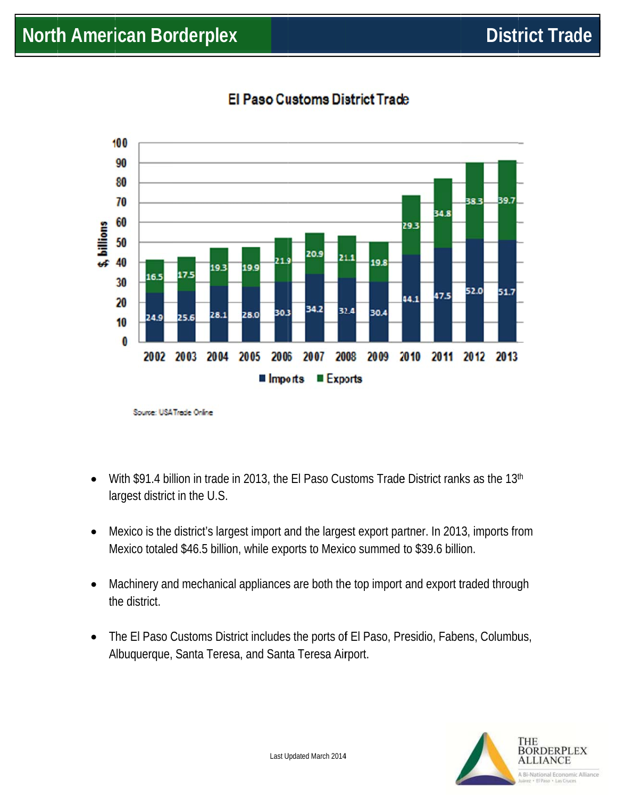

### El Paso Customs District Trade

Source: USA Trade Online

- With \$91.4 billion in trade in 2013, the El Paso Customs Trade District ranks as the 13th  $\bullet$ largest district in the U.S.
- Mexico is the district's largest import and the largest export partner. In 2013, imports from  $\bullet$ Mexico totaled \$46.5 billion, while exports to Mexico summed to \$39.6 billion.
- Machinery and mechanical appliances are both the top import and export traded through  $\bullet$ the district.
- The El Paso Customs District includes the ports of El Paso, Presidio, Fabens, Columbus,  $\bullet$ Albuquerque, Santa Teresa, and Santa Teresa Airport.